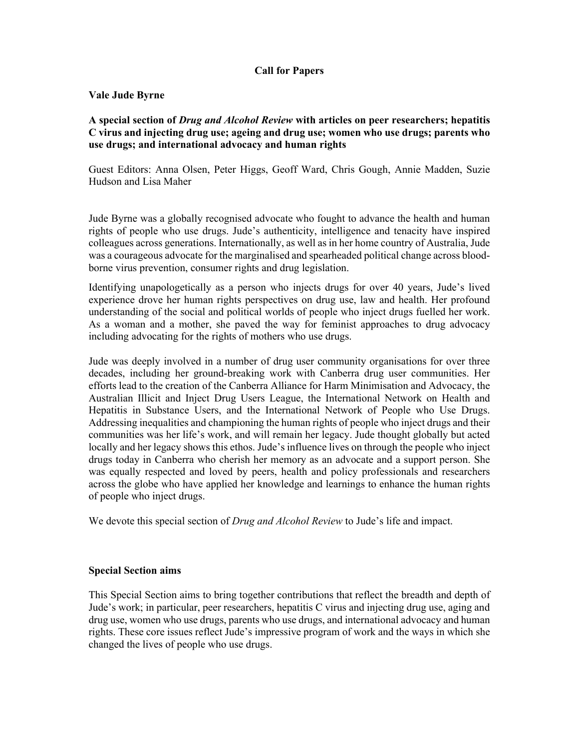# **Call for Papers**

#### **Vale Jude Byrne**

## **A special section of** *Drug and Alcohol Review* **with articles on peer researchers; hepatitis C virus and injecting drug use; ageing and drug use; women who use drugs; parents who use drugs; and international advocacy and human rights**

Guest Editors: Anna Olsen, Peter Higgs, Geoff Ward, Chris Gough, Annie Madden, Suzie Hudson and Lisa Maher

Jude Byrne was a globally recognised advocate who fought to advance the health and human rights of people who use drugs. Jude's authenticity, intelligence and tenacity have inspired colleagues across generations. Internationally, as well as in her home country of Australia, Jude was a courageous advocate for the marginalised and spearheaded political change across bloodborne virus prevention, consumer rights and drug legislation.

Identifying unapologetically as a person who injects drugs for over 40 years, Jude's lived experience drove her human rights perspectives on drug use, law and health. Her profound understanding of the social and political worlds of people who inject drugs fuelled her work. As a woman and a mother, she paved the way for feminist approaches to drug advocacy including advocating for the rights of mothers who use drugs.

Jude was deeply involved in a number of drug user community organisations for over three decades, including her ground-breaking work with Canberra drug user communities. Her efforts lead to the creation of the Canberra Alliance for Harm Minimisation and Advocacy, the Australian Illicit and Inject Drug Users League, the International Network on Health and Hepatitis in Substance Users, and the International Network of People who Use Drugs. Addressing inequalities and championing the human rights of people who inject drugs and their communities was her life's work, and will remain her legacy. Jude thought globally but acted locally and her legacy shows this ethos. Jude's influence lives on through the people who inject drugs today in Canberra who cherish her memory as an advocate and a support person. She was equally respected and loved by peers, health and policy professionals and researchers across the globe who have applied her knowledge and learnings to enhance the human rights of people who inject drugs.

We devote this special section of *Drug and Alcohol Review* to Jude's life and impact.

#### **Special Section aims**

This Special Section aims to bring together contributions that reflect the breadth and depth of Jude's work; in particular, peer researchers, hepatitis C virus and injecting drug use, aging and drug use, women who use drugs, parents who use drugs, and international advocacy and human rights. These core issues reflect Jude's impressive program of work and the ways in which she changed the lives of people who use drugs.